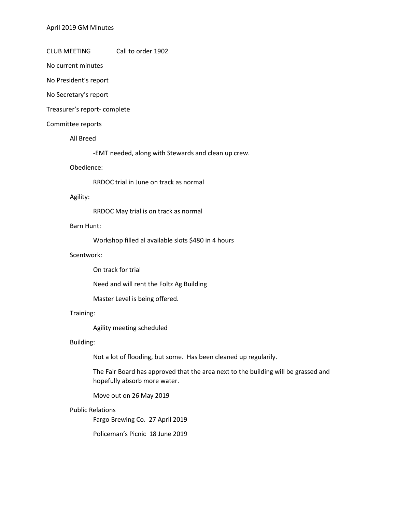CLUB MEETING Call to order 1902

No current minutes

No President's report

No Secretary's report

Treasurer's report- complete

#### Committee reports

All Breed

-EMT needed, along with Stewards and clean up crew.

## Obedience:

RRDOC trial in June on track as normal

#### Agility:

RRDOC May trial is on track as normal

### Barn Hunt:

Workshop filled al available slots \$480 in 4 hours

### Scentwork:

On track for trial

Need and will rent the Foltz Ag Building

Master Level is being offered.

### Training:

Agility meeting scheduled

# Building:

Not a lot of flooding, but some. Has been cleaned up regularily.

The Fair Board has approved that the area next to the building will be grassed and hopefully absorb more water.

Move out on 26 May 2019

#### Public Relations

Fargo Brewing Co. 27 April 2019

Policeman's Picnic 18 June 2019